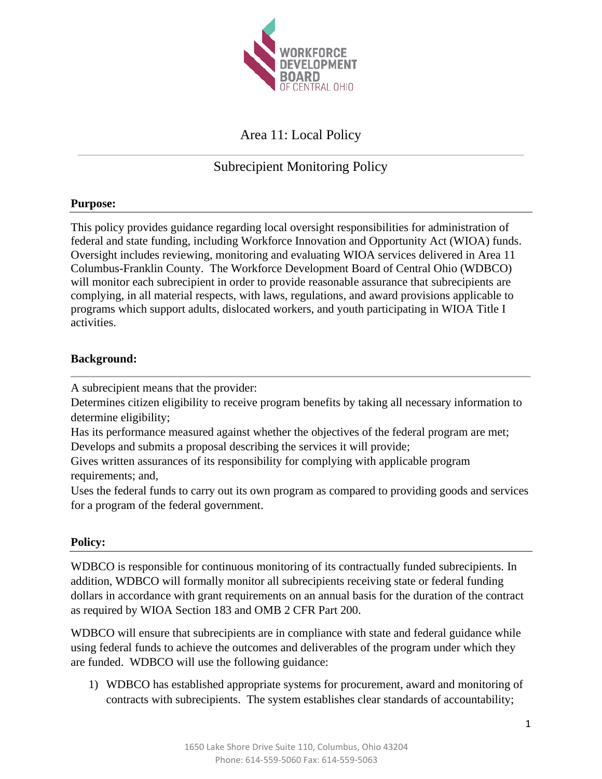

# Area 11: Local Policy

# Subrecipient Monitoring Policy

## **Purpose:**

This policy provides guidance regarding local oversight responsibilities for administration of federal and state funding, including Workforce Innovation and Opportunity Act (WIOA) funds. Oversight includes reviewing, monitoring and evaluating WIOA services delivered in Area 11 Columbus-Franklin County. The Workforce Development Board of Central Ohio (WDBCO) will monitor each subrecipient in order to provide reasonable assurance that subrecipients are complying, in all material respects, with laws, regulations, and award provisions applicable to programs which support adults, dislocated workers, and youth participating in WIOA Title I activities.

### **Background:**

A subrecipient means that the provider:

Determines citizen eligibility to receive program benefits by taking all necessary information to determine eligibility;

Has its performance measured against whether the objectives of the federal program are met; Develops and submits a proposal describing the services it will provide;

Gives written assurances of its responsibility for complying with applicable program requirements; and,

Uses the federal funds to carry out its own program as compared to providing goods and services for a program of the federal government.

### **Policy:**

WDBCO is responsible for continuous monitoring of its contractually funded subrecipients. In addition, WDBCO will formally monitor all subrecipients receiving state or federal funding dollars in accordance with grant requirements on an annual basis for the duration of the contract as required by WIOA Section 183 and OMB 2 CFR Part 200.

WDBCO will ensure that subrecipients are in compliance with state and federal guidance while using federal funds to achieve the outcomes and deliverables of the program under which they are funded. WDBCO will use the following guidance:

1) WDBCO has established appropriate systems for procurement, award and monitoring of contracts with subrecipients. The system establishes clear standards of accountability;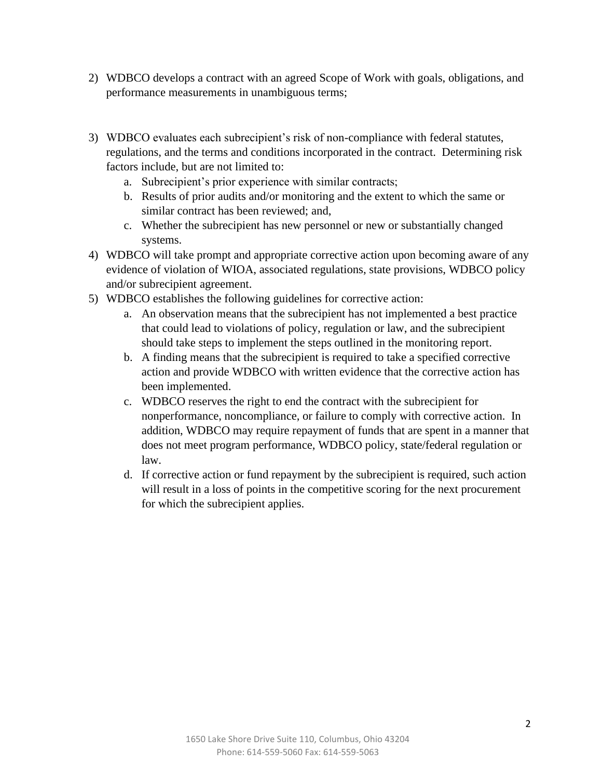- 2) WDBCO develops a contract with an agreed Scope of Work with goals, obligations, and performance measurements in unambiguous terms;
- 3) WDBCO evaluates each subrecipient's risk of non-compliance with federal statutes, regulations, and the terms and conditions incorporated in the contract. Determining risk factors include, but are not limited to:
	- a. Subrecipient's prior experience with similar contracts;
	- b. Results of prior audits and/or monitoring and the extent to which the same or similar contract has been reviewed; and,
	- c. Whether the subrecipient has new personnel or new or substantially changed systems.
- 4) WDBCO will take prompt and appropriate corrective action upon becoming aware of any evidence of violation of WIOA, associated regulations, state provisions, WDBCO policy and/or subrecipient agreement.
- 5) WDBCO establishes the following guidelines for corrective action:
	- a. An observation means that the subrecipient has not implemented a best practice that could lead to violations of policy, regulation or law, and the subrecipient should take steps to implement the steps outlined in the monitoring report.
	- b. A finding means that the subrecipient is required to take a specified corrective action and provide WDBCO with written evidence that the corrective action has been implemented.
	- c. WDBCO reserves the right to end the contract with the subrecipient for nonperformance, noncompliance, or failure to comply with corrective action. In addition, WDBCO may require repayment of funds that are spent in a manner that does not meet program performance, WDBCO policy, state/federal regulation or law.
	- d. If corrective action or fund repayment by the subrecipient is required, such action will result in a loss of points in the competitive scoring for the next procurement for which the subrecipient applies.